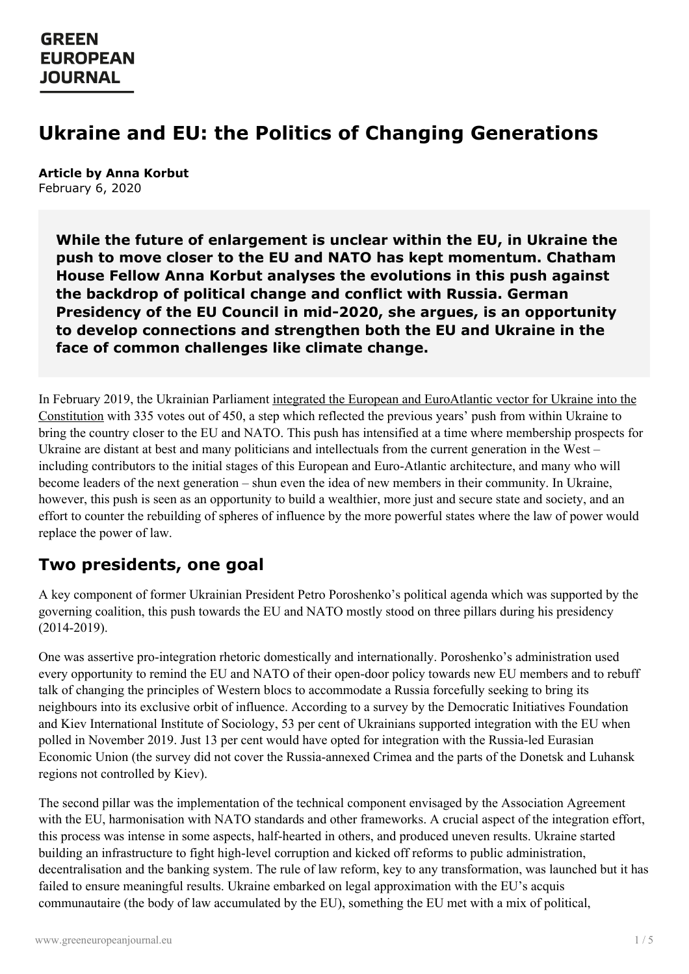# **Ukraine and EU: the Politics of Changing Generations**

**Article by Anna Korbut** February 6, 2020

> **While the future of enlargement is unclear within the EU, in Ukraine the push to move closer to the EU and NATO has kept momentum. Chatham House Fellow Anna Korbut analyses the evolutions in this push against the backdrop of political change and conflict with Russia. German Presidency of the EU Council in mid-2020, she argues, is an opportunity to develop connections and strengthen both the EU and Ukraine in the face of common challenges like climate change.**

In February 2019, the Ukrainian Parliament integrated the European and [EuroAtlantic](https://www.rferl.org/a/ukraine-parliament-passes-constitutional-amendment-to-reflect-eu-nato-aspirations/29756695.html) vector for Ukraine into the Constitution with 335 votes out of 450, a step which reflected the previous years' push from within Ukraine to bring the country closer to the EU and NATO. This push has intensified at a time where membership prospects for Ukraine are distant at best and many politicians and intellectuals from the current generation in the West – including contributors to the initial stages of this European and Euro-Atlantic architecture, and many who will become leaders of the next generation – shun even the idea of new members in their community. In Ukraine, however, this push is seen as an opportunity to build a wealthier, more just and secure state and society, and an effort to counter the rebuilding of spheres of influence by the more powerful states where the law of power would replace the power of law.

## **Two presidents, one goal**

A key component of former Ukrainian President Petro Poroshenko's political agenda which was supported by the governing coalition, this push towards the EU and NATO mostly stood on three pillars during his presidency (2014-2019).

One was assertive pro-integration rhetoric domestically and internationally. Poroshenko's administration used every opportunity to remind the EU and NATO of their open-door policy towards new EU members and to rebuff talk of changing the principles of Western blocs to accommodate a Russia forcefully seeking to bring its neighbours into its exclusive orbit of influence. According to a survey by the Democratic Initiatives Foundation and Kiev International Institute of Sociology, 53 per cent of Ukrainians supported integration with the EU when polled in November 2019. Just 13 per cent would have opted for integration with the Russia-led Eurasian Economic Union (the survey did not cover the Russia-annexed Crimea and the parts of the Donetsk and Luhansk regions not controlled by Kiev).

The second pillar was the implementation of the technical component envisaged by the Association Agreement with the EU, [harmonisatio](https://www.greeneuropeanjournal.eu)n with NATO standards and other frameworks. A crucial aspect of the integration effort, this process was intense in some aspects, half-hearted in others, and produced uneven results. Ukraine started building an infrastructure to fight high-level corruption and kicked off reforms to public administration, decentralisation and the banking system. The rule of law reform, key to any transformation, was launched but it has failed to ensure meaningful results. Ukraine embarked on legal approximation with the EU's acquis communautaire (the body of law accumulated by the EU), something the EU met with a mix of political,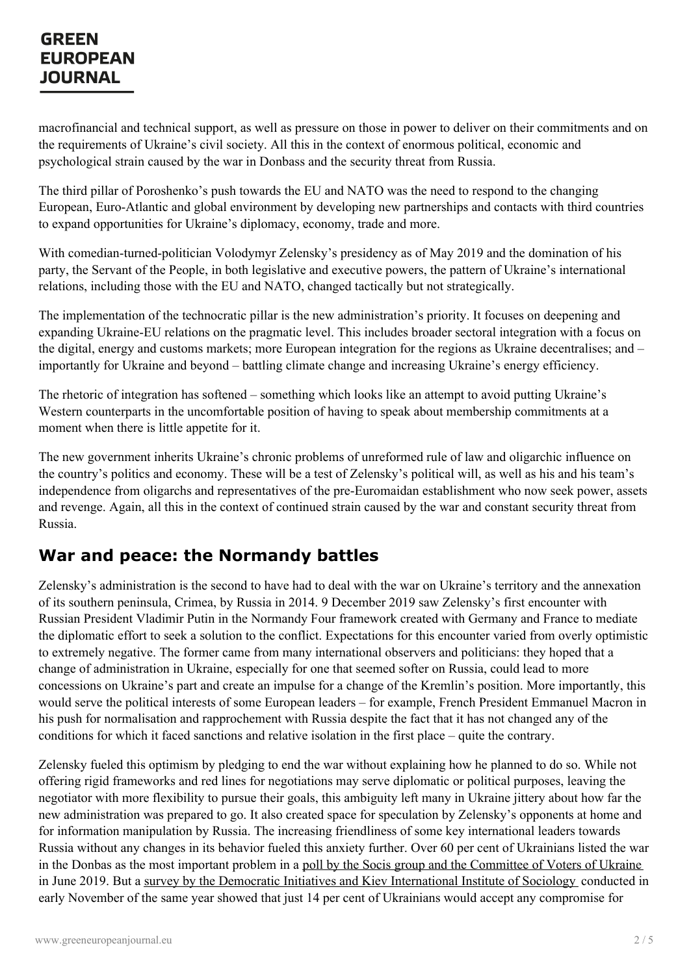macrofinancial and technical support, as well as pressure on those in power to deliver on their commitments and on the requirements of Ukraine's civil society. All this in the context of enormous political, economic and psychological strain caused by the war in Donbass and the security threat from Russia.

The third pillar of Poroshenko's push towards the EU and NATO was the need to respond to the changing European, Euro-Atlantic and global environment by developing new partnerships and contacts with third countries to expand opportunities for Ukraine's diplomacy, economy, trade and more.

With comedian-turned-politician Volodymyr Zelensky's presidency as of May 2019 and the domination of his party, the Servant of the People, in both legislative and executive powers, the pattern of Ukraine's international relations, including those with the EU and NATO, changed tactically but not strategically.

The implementation of the technocratic pillar is the new administration's priority. It focuses on deepening and expanding Ukraine-EU relations on the pragmatic level. This includes broader sectoral integration with a focus on the digital, energy and customs markets; more European integration for the regions as Ukraine decentralises; and – importantly for Ukraine and beyond – battling climate change and increasing Ukraine's energy efficiency.

The rhetoric of integration has softened – something which looks like an attempt to avoid putting Ukraine's Western counterparts in the uncomfortable position of having to speak about membership commitments at a moment when there is little appetite for it.

The new government inherits Ukraine's chronic problems of unreformed rule of law and oligarchic influence on the country's politics and economy. These will be a test of Zelensky's political will, as well as his and his team's independence from oligarchs and representatives of the pre-Euromaidan establishment who now seek power, assets and revenge. Again, all this in the context of continued strain caused by the war and constant security threat from Russia.

## **War and peace: the Normandy battles**

Zelensky's administration is the second to have had to deal with the war on Ukraine's territory and the annexation of its southern peninsula, Crimea, by Russia in 2014. 9 December 2019 saw Zelensky's first encounter with Russian President Vladimir Putin in the Normandy Four framework created with Germany and France to mediate the diplomatic effort to seek a solution to the conflict. Expectations for this encounter varied from overly optimistic to extremely negative. The former came from many international observers and politicians: they hoped that a change of administration in Ukraine, especially for one that seemed softer on Russia, could lead to more concessions on Ukraine's part and create an impulse for a change of the Kremlin's position. More importantly, this would serve the political interests of some European leaders – for example, French President Emmanuel Macron in his push for normalisation and rapprochement with Russia despite the fact that it has not changed any of the conditions for which it faced sanctions and relative isolation in the first place – quite the contrary.

Zelensky fueled this optimism by pledging to end the war without explaining how he planned to do so. While not offering rigid frameworks and red lines for negotiations may serve diplomatic or political purposes, leaving the negotiator with more flexibility to pursue their goals, this ambiguity left many in Ukraine jittery about how far the new [administration](https://www.greeneuropeanjournal.eu) was prepared to go. It also created space for speculation by Zelensky's opponents at home and for information manipulation by Russia. The increasing friendliness of some key international leaders towards Russia without any changes in its behavior fueled this anxiety further. Over 60 per cent of Ukrainians listed the war in the Donbas as the most important problem in a poll by the Socis group and the [Committee](https://ua-news.liga.net/politics/news/opituvannya-skilki-ukraintsiv-vvajayut-realnoyu-zagrozu-vid-rosii) of Voters of Ukraine in June 2019. But a survey by the Democratic Initiatives and Kiev [International](https://dif.org.ua/article/shlyakhi-dosyagnennya-miru-na-donbasi-suspilni-nastroi-ochikuvannya-perestorogi-zagalnonatsionalne-opituvannya) Institute of Sociology conducted in early November of the same year showed that just 14 per cent of Ukrainians would accept any compromise for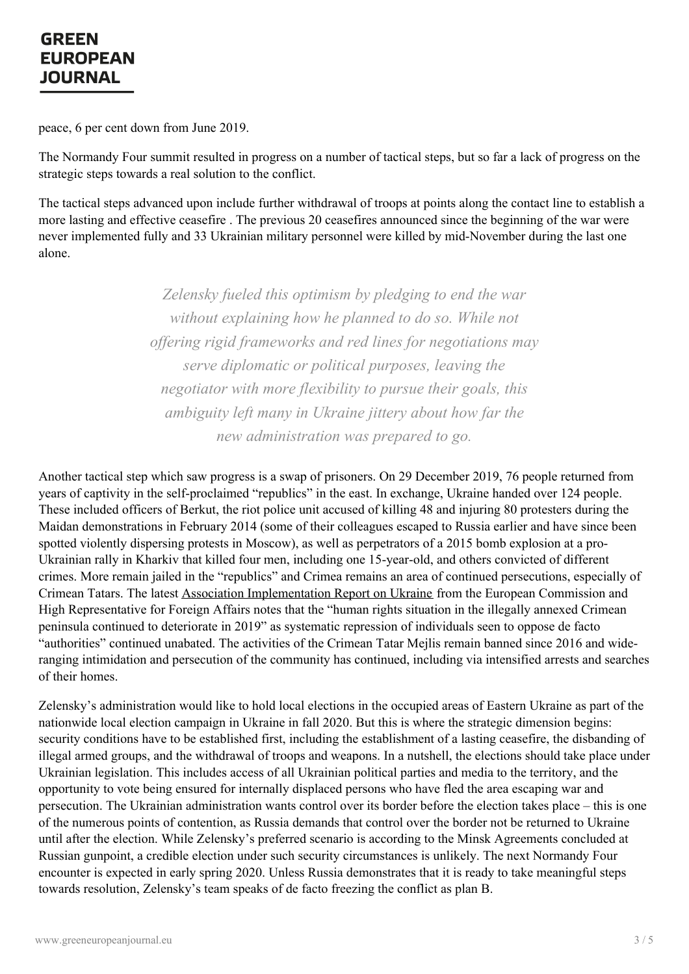peace, 6 per cent down from June 2019.

The Normandy Four summit resulted in progress on a number of tactical steps, but so far a lack of progress on the strategic steps towards a real solution to the conflict.

The tactical steps advanced upon include further withdrawal of troops at points along the contact line to establish a more lasting and effective ceasefire . The previous 20 ceasefires announced since the beginning of the war were never implemented fully and 33 Ukrainian military personnel were killed by mid-November during the last one alone.

> *Zelensky fueled this optimism by pledging to end the war without explaining how he planned to do so. While not of ering rigid frameworks and red lines for negotiations may serve diplomatic or political purposes, leaving the negotiator with more flexibility to pursue their goals, this ambiguity left many in Ukraine jittery about how far the new administration was prepared to go.*

Another tactical step which saw progress is a swap of prisoners. On 29 December 2019, 76 people returned from years of captivity in the self-proclaimed "republics" in the east. In exchange, Ukraine handed over 124 people. These included officers of Berkut, the riot police unit accused of killing 48 and injuring 80 protesters during the Maidan demonstrations in February 2014 (some of their colleagues escaped to Russia earlier and have since been spotted violently dispersing protests in Moscow), as well as perpetrators of a 2015 bomb explosion at a pro-Ukrainian rally in Kharkiv that killed four men, including one 15-year-old, and others convicted of different crimes. More remain jailed in the "republics" and Crimea remains an area of continued persecutions, especially of Crimean Tatars. The latest Association [Implementation](https://eeas.europa.eu/sites/eeas/files/swd_2019_433_f1_joint_staff_working_paper_en_v4_p1_1056243.pdf) Report on Ukraine from the European Commission and High Representative for Foreign Affairs notes that the "human rights situation in the illegally annexed Crimean peninsula continued to deteriorate in 2019" as systematic repression of individuals seen to oppose de facto "authorities" continued unabated. The activities of the Crimean Tatar Mejlis remain banned since 2016 and wideranging intimidation and persecution of the community has continued, including via intensified arrests and searches of their homes.

Zelensky's administration would like to hold local elections in the occupied areas of Eastern Ukraine as part of the nationwide local election campaign in Ukraine in fall 2020. But this is where the strategic dimension begins: security conditions have to be established first, including the establishment of a lasting ceasefire, the disbanding of illegal armed groups, and the withdrawal of troops and weapons. In a nutshell, the elections should take place under Ukrainian legislation. This includes access of all Ukrainian political parties and media to the territory, and the opportunity to vote being ensured for internally displaced persons who have fled the area escaping war and persecution. The Ukrainian administration wants control over its border before the election takes place – this is one of the [numerous](https://www.greeneuropeanjournal.eu) points of contention, as Russia demands that control over the border not be returned to Ukraine until after the election. While Zelensky's preferred scenario is according to the Minsk Agreements concluded at Russian gunpoint, a credible election under such security circumstances is unlikely. The next Normandy Four encounter is expected in early spring 2020. Unless Russia demonstrates that it is ready to take meaningful steps towards resolution, Zelensky's team speaks of de facto freezing the conflict as plan B.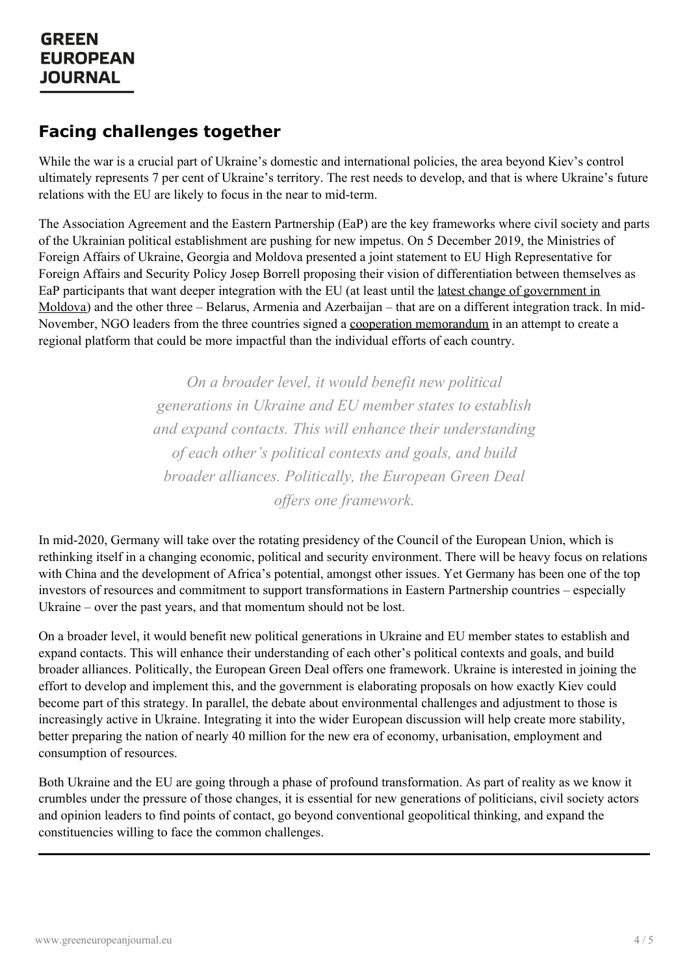#### **Facing challenges together**

While the war is a crucial part of Ukraine's domestic and international policies, the area beyond Kiev's control ultimately represents 7 per cent of Ukraine's territory. The rest needs to develop, and that is where Ukraine's future relations with the EU are likely to focus in the near to mid-term.

The Association Agreement and the Eastern Partnership (EaP) are the key frameworks where civil society and parts of the Ukrainian political establishment are pushing for new impetus. On 5 December 2019, the Ministries of Foreign Affairs of Ukraine, Georgia and Moldova presented a joint statement to EU High Representative for Foreign Affairs and Security Policy Josep Borrell proposing their vision of differentiation between themselves as EaP participants that want deeper integration with the EU (at least until the latest change of [government](https://www.rferl.org/a/moldovan-parliament-approves-new-technocratic-government/30271333.html) in Moldova) and the other three – Belarus, Armenia and Azerbaijan – that are on a different integration track. In mid-November, NGO leaders from the three countries signed a cooperation [memorandum](http://eap-csf.org.ua/wp-content/uploads/2019/12/AA_Memorandum_of_Cooperation.pdf) in an attempt to create a regional platform that could be more impactful than the individual efforts of each country.

> *On a broader level, it would benefit new political generations in Ukraine and EU member states to establish and expand contacts. This will enhance their understanding of each other's political contexts and goals, and build broader alliances. Politically, the European Green Deal of ers one framework.*

In mid-2020, Germany will take over the rotating presidency of the Council of the European Union, which is rethinking itself in a changing economic, political and security environment. There will be heavy focus on relations with China and the development of Africa's potential, amongst other issues. Yet Germany has been one of the top investors of resources and commitment to support transformations in Eastern Partnership countries – especially Ukraine – over the past years, and that momentum should not be lost.

On a broader level, it would benefit new political generations in Ukraine and EU member states to establish and expand contacts. This will enhance their understanding of each other's political contexts and goals, and build broader alliances. Politically, the European Green Deal offers one framework. Ukraine is interested in joining the effort to develop and implement this, and the government is elaborating proposals on how exactly Kiev could become part of this strategy. In parallel, the debate about environmental challenges and adjustment to those is increasingly active in Ukraine. Integrating it into the wider European discussion will help create more stability, better preparing the nation of nearly 40 million for the new era of economy, urbanisation, employment and consumption of resources.

Both Ukraine and the EU are going through a phase of profound transformation. As part of reality as we know it crumbles under the pressure of those changes, it is essential for new generations of politicians, civil society actors and [opinion](https://www.greeneuropeanjournal.eu) leaders to find points of contact, go beyond conventional geopolitical thinking, and expand the constituencies willing to face the common challenges.